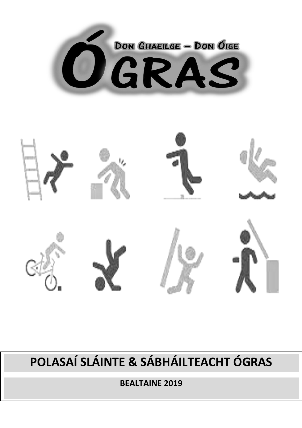



# POLASAÍ SLÁINTE & SÁBHÁILTEACHT ÓGRAS

**BEALTAINE 2019**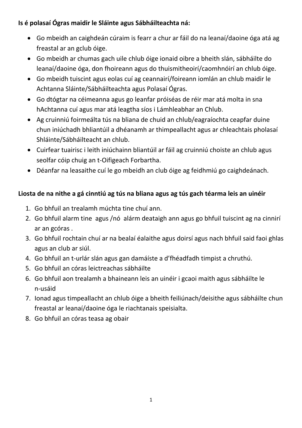### **Is é polasaí Ógras maidir le Sláinte agus Sábháilteachta ná:**

- Go mbeidh an caighdeán cúraim is fearr a chur ar fáil do na leanaí/daoine óga atá ag freastal ar an gclub óige.
- Go mbeidh ar chumas gach uile chlub óige ionaid oibre a bheith slán, sábháilte do leanaí/daoine óga, don fhoireann agus do thuismitheoirí/caomhnóirí an chlub óige.
- Go mbeidh tuiscint agus eolas cuí ag ceannairí/foireann iomlán an chlub maidir le Achtanna Sláinte/Sábháilteachta agus Polasaí Ógras.
- Go dtógtar na céimeanna agus go leanfar próiséas de réir mar atá molta in sna hAchtanna cuí agus mar atá leagtha síos i Lámhleabhar an Chlub.
- Ag cruinniú foirmeálta tús na bliana de chuid an chlub/eagraíochta ceapfar duine chun iniúchadh bhliantúil a dhéanamh ar thimpeallacht agus ar chleachtais pholasaí Shláinte/Sábháilteacht an chlub.
- Cuirfear tuairisc i leith iniúchainn bliantúil ar fáil ag cruinniú choiste an chlub agus seolfar cóip chuig an t-Oifigeach Forbartha.
- Déanfar na leasaithe cuí le go mbeidh an club óige ag feidhmiú go caighdeánach.

# **Liosta de na nithe a gá cinntiú ag tús na bliana agus ag tús gach téarma leis an uinéir**

- 1. Go bhfuil an trealamh múchta tine chuí ann.
- 2. Go bhfuil alarm tine agus /nó alárm deataigh ann agus go bhfuil tuiscint ag na cinnirí ar an gcóras .
- 3. Go bhfuil rochtain chuí ar na bealaí éalaithe agus doirsí agus nach bhfuil said faoi ghlas agus an club ar siúl.
- 4. Go bhfuil an t-urlár slán agus gan damáíste a d'fhéadfadh timpist a chruthú.
- 5. Go bhfuil an córas leictreachas sábháilte
- 6. Go bhfuil aon trealamh a bhaineann leis an uinéir i gcaoi maith agus sábháilte le n-usáid
- 7. Ionad agus timpeallacht an chlub óige a bheith feiliúnach/deisithe agus sábháilte chun freastal ar leanaí/daoine óga le riachtanais speisialta.
- 8. Go bhfuil an córas teasa ag obair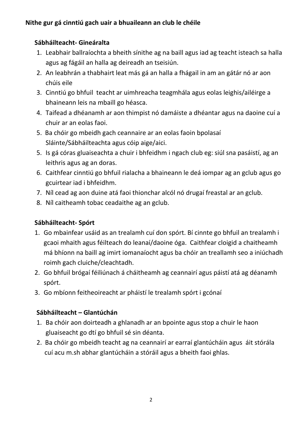# **Sábháilteacht- Gineáralta**

- 1. Leabhair ballraíochta a bheith sínithe ag na baill agus iad ag teacht isteach sa halla agus ag fágáil an halla ag deireadh an tseisiún.
- 2. An leabhrán a thabhairt leat más gá an halla a fhágail in am an gátár nó ar aon chúis eile
- 3. Cinntiú go bhfuil teacht ar uimhreacha teagmhála agus eolas leighis/ailéirge a bhaineann leis na mbaill go héasca.
- 4. Taifead a dhéanamh ar aon thimpist nó damáiste a dhéantar agus na daoine cuí a chuir ar an eolas faoi.
- 5. Ba chóir go mbeidh gach ceannaire ar an eolas faoin bpolasaí Sláinte/Sábháilteachta agus cóip aige/aici.
- 5. Is gá córas gluaiseachta a chuir i bhfeidhm i ngach club eg: siúl sna pasáistí, ag an leithris agus ag an doras.
- 6. Caithfear cinntiú go bhfuil rialacha a bhaineann le deá iompar ag an gclub agus go gcuirtear iad i bhfeidhm.
- 7. Níl cead ag aon duine atá faoi thionchar alcól nó drugaí freastal ar an gclub.
- 8. Níl caitheamh tobac ceadaithe ag an gclub.

# **Sábháilteacht- Spórt**

- 1. Go mbainfear usáid as an trealamh cuí don spórt. Bí cinnte go bhfuil an trealamh i gcaoi mhaith agus féilteach do leanaí/daoine óga. Caithfear cloigid a chaitheamh má bhíonn na baill ag imirt iomanaíocht agus ba chóir an treallamh seo a iniúchadh roimh gach cluiche/cleachtadh.
- 2. Go bhfuil brógaí féiliúnach á cháitheamh ag ceannairí agus páistí atá ag déanamh spórt.
- 3. Go mbíonn feitheoireacht ar pháistí le trealamh spórt i gcónaí

# **Sábháilteacht – Glantúchán**

- 1. Ba chóir aon doirteadh a ghlanadh ar an bpointe agus stop a chuir le haon gluaiseacht go dtí go bhfuil sé sin déanta.
- 2. Ba chóir go mbeidh teacht ag na ceannairí ar earraí glantúcháin agus áit stórála cuí acu m.sh abhar glantúcháin a stóráil agus a bheith faoi ghlas.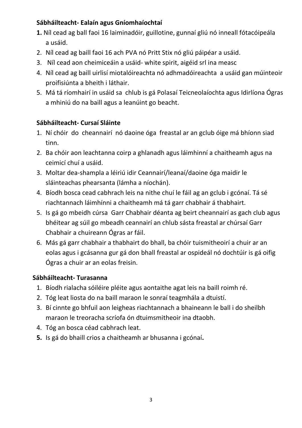### **Sábháilteacht- Ealaín agus Gníomhaíochtaí**

- **1.** Níl cead ag ball faoi 16 laiminadóir, guillotine, gunnaí gliú nó inneall fótacóipeála a usáid.
- 2. Níl cead ag baill faoi 16 ach PVA nó Pritt Stix nó gliú páipéar a usáid.
- 3. Níl cead aon cheimiceáin a usáid- white spirit, aigéid srl ina measc
- 4. Níl cead ag baill uirlisí miotalóireachta nó adhmadóireachta a usáid gan múinteoir proifisiúnta a bheith i láthair.
- 5. Má tá ríomhairí in usáid sa chlub is gá Polasaí Teicneolaíochta agus Idirlíona Ógras a mhiniú do na baill agus a leanúint go beacht.

## **Sábháilteacht- Cursaí Sláinte**

- 1. Ní chóir do cheannairí nó daoine óga freastal ar an gclub óige má bhíonn siad tinn.
- 2. Ba chóir aon leachtanna coirp a ghlanadh agus láimhinní a chaitheamh agus na ceimicí chuí a usáid.
- 3. Moltar dea-shampla a léiriú idir Ceannairí/leanaí/daoine óga maidir le sláinteachas phearsanta (lámha a níochán).
- 4. Bíodh bosca cead cabhrach leis na nithe chuí le fáil ag an gclub i gcónaí. Tá sé riachtannach láimhínni a chaitheamh má tá garr chabhair á thabhairt.
- 5. Is gá go mbeidh cúrsa Garr Chabhair déanta ag beirt cheannairí as gach club agus bhéitear ag súil go mbeadh ceannairí an chlub sásta freastal ar chúrsaí Garr Chabhair a chuireann Ógras ar fáil.
- 6. Más gá garr chabhair a thabhairt do bhall, ba chóir tuismitheoirí a chuir ar an eolas agus i gcásanna gur gá don bhall freastal ar ospideál nó dochtúir is gá oifig Ógras a chuir ar an eolas freisin.

#### **Sábháilteacht- Turasanna**

- 1. Bíodh rialacha sóiléire pléite agus aontaithe agat leis na baill roimh ré.
- 2. Tóg leat liosta do na baill maraon le sonraí teagmhála a dtuistí.
- 3. Bí cinnte go bhfuil aon leigheas riachtannach a bhaineann le ball i do sheilbh maraon le treoracha scríofa ón dtuimsmitheoir ina dtaobh.
- 4. Tóg an bosca céad cabhrach leat.
- **5.** Is gá do bhaill crios a chaitheamh ar bhusanna i gcónaí**.**